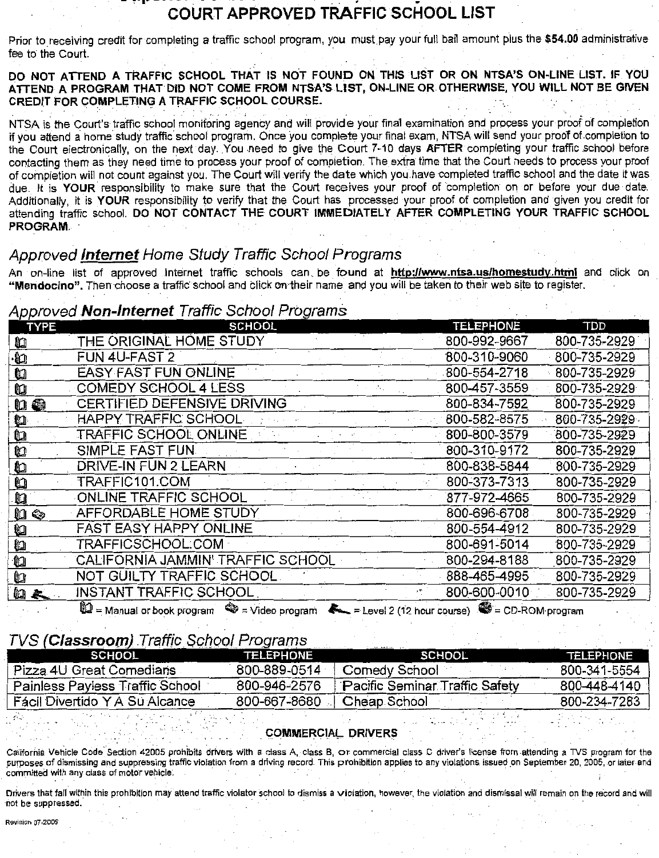# COURT APPROVED TRAFFIC SCHOOL LIST

Prior to receiving credit for completing a traffic school program, you must pay your full bail amount plus the \$54.00 administrative fee to the Court.

DO NOT ATTEND A TRAFFIC SCHOOL THAT IS NOT FOUND ON THIS LIST OR ON NTSA'S ON-LINE LIST. IF YOU ATTEND A PROGRAM THAT DID NOT COME FROM NTSA'S LIST, ON-LINE OR OTHERWISE, YOU WILL NOT BE GIVEN CREDIT FOR COMPLETING A TRAFFIC SCHOOL COURSE.

NTSA is the Court's traffic school monitoring agency and will provide your final examination and process your proof of completion if you attend a home study traffic school program. Once you complete your final exam, NTSA will send your proof of completion to the Court electronically, on the next day. You need to give the Court 7-10 days AFTER completing your traffic school before contacting them as they need time to process your proof of completion. The extra time that the Court needs to process your proof of completion will not count against you. The Court will verify the date which you have completed traffic school and the date it was due. It is YOUR responsibility to make sure that the Court receives your proof of completion on or before your due date. Additionally, it is YOUR responsibility to verify that the Court has processed your proof of completion and given you credit for attending traffic school. DO NOT CONTACT THE COURT IMMEDIATELY AFTER COMPLETING YOUR TRAFFIC SCHOOL PROGRAM.

## Approved **Internet** Home Study Traffic School Programs

An on-line list of approved Internet traffic schools can be found at http://www.ntsa.us/homestudy.html and click on "Mendocino". Then choose a traffic school and click on their name and you will be taken to their web site to register.

## Annroved Non-Internet Traffic School Programs

| 'r'<br><b>TYPE</b> | SCHOOL                            | <b>TELEPHONE</b> | TDD          |
|--------------------|-----------------------------------|------------------|--------------|
| ù                  | THE ORIGINAL HOME STUDY           | 800-992-9667     | 800-735-2929 |
| Ł                  | FUN 4U-FAST 2                     | 800-310-9060     | 800-735-2929 |
| ù                  | <b>EASY FAST FUN ONLINE</b>       | 800-554-2718     | 800-735-2929 |
| $\mathbf{u}$       | <b>COMEDY SCHOOL 4 LESS</b>       | 800-457-3559     | 800-735-2929 |
| 山海                 | CERTIFIED DEFENSIVE DRIVING       | 800-834-7592     | 800-735-2929 |
| <b>u</b>           | HAPPY TRAFFIC SCHOOL              | 800-582-8575     | 800-735-2929 |
| ù                  | TRAFFIC SCHOOL ONLINE             | 800-800-3579     | 800-735-2929 |
| u                  | SIMPLE FAST FUN                   | 800-310-9172     | 800-735-2929 |
| O                  | DRIVE-IN FUN 2 LEARN              | 800-838-5844     | 800-735-2929 |
| IJ                 | TRAFFIC101.COM                    | 800-373-7313     | 800-735-2929 |
| O                  | ONLINE TRAFFIC SCHOOL             | 877-972-4665     | 800-735-2929 |
| ù<br>িত্র          | AFFORDABLE HOME STUDY             | 800-696-6708     | 800-735-2929 |
| ù,                 | FAST EASY HAPPY ONLINE            | 800-554-4912     | 800-735-2929 |
| ù                  | TRAFFICSCHOOL.COM                 | 800-691-5014     | 800-735-2929 |
| n                  | CALIFORNIA JAMMIN' TRAFFIC SCHOOL | 800-294-8188     | 800-735-2929 |
| ù                  | NOT GUILTY TRAFFIC SCHOOL         | 888-465-4995     | 800-735-2929 |
| ш                  | INSTANT TRAFFIC SCHOOL            | 800-600-0010     | 800-735-2929 |
|                    | G. н.                             |                  |              |

 $\blacksquare$  = Manual or book program  $\blacksquare$  = Video program  $\blacksquare$  = Level 2 (12 hour course)  $\blacksquare$  = CD-ROM program

## TVS (Classroom) Traffic School Programs

| SCHOOL                          | <b>TELEPHONE</b> | SCHOOL                                | <b>TELEPHONE</b> |
|---------------------------------|------------------|---------------------------------------|------------------|
| Pizza 4U Great Comedians        | 800-889-0514     | Comedy School                         | 800-341-5554     |
| Painless Paviess Traffic School | 800-946-2576     | <b>Pacific Seminar Traffic Safety</b> | 800-448-4140     |
| Fácil Divertido Y A Su Alcance  | 800-667-8680     | Cheap School                          | 800-234-7283     |
|                                 |                  | COMMERCIAL DRIVERS                    |                  |

California Vehicle Code Section 42005 prohibits drivers with a class A, class B, or commercial class C driver's license from attending a TVS program for the purposes of dismissing and suppressing traffic violation from a driving record. This prohibition applies to any violations issued on September 20, 2005, or later and committed with any class of motor vehicle

Drivers that fall within this prohibition may attend traffic violator school to dismiss a violation, however, the violation and dismissal will remain on the record and wi not be suppressed